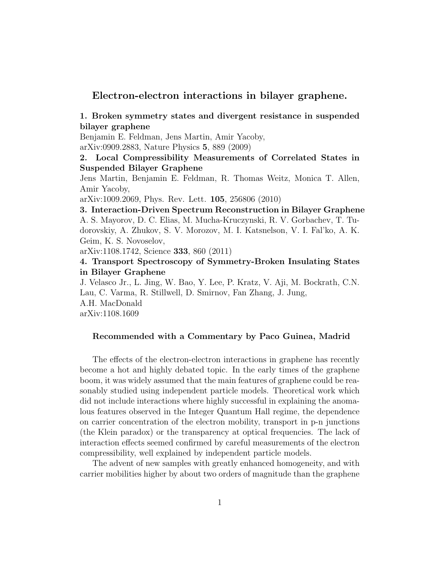## Electron-electron interactions in bilayer graphene.

### 1. Broken symmetry states and divergent resistance in suspended bilayer graphene

Benjamin E. Feldman, Jens Martin, Amir Yacoby, arXiv:0909.2883, Nature Physics 5, 889 (2009)

## 2. Local Compressibility Measurements of Correlated States in Suspended Bilayer Graphene

Jens Martin, Benjamin E. Feldman, R. Thomas Weitz, Monica T. Allen, Amir Yacoby,

arXiv:1009.2069, Phys. Rev. Lett. 105, 256806 (2010)

3. Interaction-Driven Spectrum Reconstruction in Bilayer Graphene A. S. Mayorov, D. C. Elias, M. Mucha-Kruczynski, R. V. Gorbachev, T. Tudorovskiy, A. Zhukov, S. V. Morozov, M. I. Katsnelson, V. I. Fal'ko, A. K. Geim, K. S. Novoselov,

arXiv:1108.1742, Science 333, 860 (2011)

### 4. Transport Spectroscopy of Symmetry-Broken Insulating States in Bilayer Graphene

J. Velasco Jr., L. Jing, W. Bao, Y. Lee, P. Kratz, V. Aji, M. Bockrath, C.N. Lau, C. Varma, R. Stillwell, D. Smirnov, Fan Zhang, J. Jung, A.H. MacDonald

arXiv:1108.1609

#### Recommended with a Commentary by Paco Guinea, Madrid

The effects of the electron-electron interactions in graphene has recently become a hot and highly debated topic. In the early times of the graphene boom, it was widely assumed that the main features of graphene could be reasonably studied using independent particle models. Theoretical work which did not include interactions where highly successful in explaining the anomalous features observed in the Integer Quantum Hall regime, the dependence on carrier concentration of the electron mobility, transport in p-n junctions (the Klein paradox) or the transparency at optical frequencies. The lack of interaction effects seemed confirmed by careful measurements of the electron compressibility, well explained by independent particle models.

The advent of new samples with greatly enhanced homogeneity, and with carrier mobilities higher by about two orders of magnitude than the graphene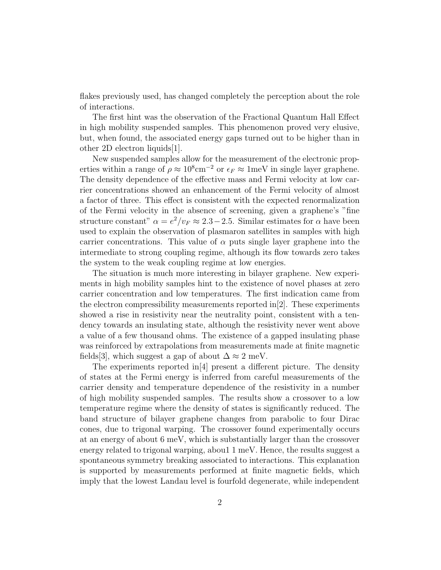flakes previously used, has changed completely the perception about the role of interactions.

The first hint was the observation of the Fractional Quantum Hall Effect in high mobility suspended samples. This phenomenon proved very elusive, but, when found, the associated energy gaps turned out to be higher than in other 2D electron liquids[1].

New suspended samples allow for the measurement of the electronic properties within a range of  $\rho \approx 10^8 \text{cm}^{-2}$  or  $\epsilon_F \approx 1 \text{meV}$  in single layer graphene. The density dependence of the effective mass and Fermi velocity at low carrier concentrations showed an enhancement of the Fermi velocity of almost a factor of three. This effect is consistent with the expected renormalization of the Fermi velocity in the absence of screening, given a graphene's "fine structure constant"  $\alpha = e^2/v_F \approx 2.3-2.5$ . Similar estimates for  $\alpha$  have been used to explain the observation of plasmaron satellites in samples with high carrier concentrations. This value of  $\alpha$  puts single layer graphene into the intermediate to strong coupling regime, although its flow towards zero takes the system to the weak coupling regime at low energies.

The situation is much more interesting in bilayer graphene. New experiments in high mobility samples hint to the existence of novel phases at zero carrier concentration and low temperatures. The first indication came from the electron compressibility measurements reported in  $[2]$ . These experiments showed a rise in resistivity near the neutrality point, consistent with a tendency towards an insulating state, although the resistivity never went above a value of a few thousand ohms. The existence of a gapped insulating phase was reinforced by extrapolations from measurements made at finite magnetic fields[3], which suggest a gap of about  $\Delta \approx 2$  meV.

The experiments reported in[4] present a different picture. The density of states at the Fermi energy is inferred from careful measurements of the carrier density and temperature dependence of the resistivity in a number of high mobility suspended samples. The results show a crossover to a low temperature regime where the density of states is significantly reduced. The band structure of bilayer graphene changes from parabolic to four Dirac cones, due to trigonal warping. The crossover found experimentally occurs at an energy of about 6 meV, which is substantially larger than the crossover energy related to trigonal warping, abou1 1 meV. Hence, the results suggest a spontaneous symmetry breaking associated to interactions. This explanation is supported by measurements performed at finite magnetic fields, which imply that the lowest Landau level is fourfold degenerate, while independent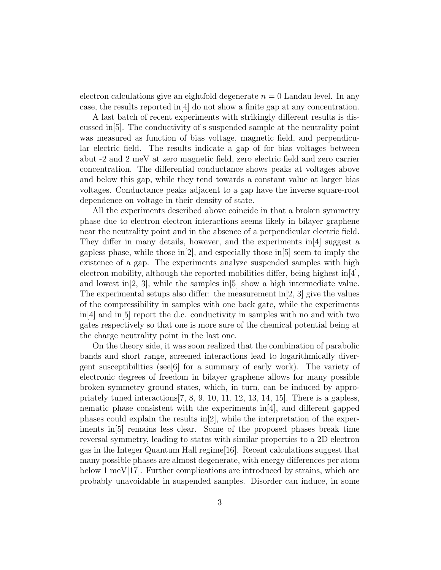electron calculations give an eightfold degenerate  $n = 0$  Landau level. In any case, the results reported in  $[4]$  do not show a finite gap at any concentration.

A last batch of recent experiments with strikingly different results is discussed in[5]. The conductivity of s suspended sample at the neutrality point was measured as function of bias voltage, magnetic field, and perpendicular electric field. The results indicate a gap of for bias voltages between abut -2 and 2 meV at zero magnetic field, zero electric field and zero carrier concentration. The differential conductance shows peaks at voltages above and below this gap, while they tend towards a constant value at larger bias voltages. Conductance peaks adjacent to a gap have the inverse square-root dependence on voltage in their density of state.

All the experiments described above coincide in that a broken symmetry phase due to electron electron interactions seems likely in bilayer graphene near the neutrality point and in the absence of a perpendicular electric field. They differ in many details, however, and the experiments in[4] suggest a gapless phase, while those in  $[2]$ , and especially those in  $[5]$  seem to imply the existence of a gap. The experiments analyze suspended samples with high electron mobility, although the reported mobilities differ, being highest in  $[4]$ , and lowest in  $[2, 3]$ , while the samples in  $[5]$  show a high intermediate value. The experimental setups also differ: the measurement in  $[2, 3]$  give the values of the compressibility in samples with one back gate, while the experiments  $\ln[4]$  and  $\ln[5]$  report the d.c. conductivity in samples with no and with two gates respectively so that one is more sure of the chemical potential being at the charge neutrality point in the last one.

On the theory side, it was soon realized that the combination of parabolic bands and short range, screened interactions lead to logarithmically divergent susceptibilities (see  $\lceil 6 \rceil$  for a summary of early work). The variety of electronic degrees of freedom in bilayer graphene allows for many possible broken symmetry ground states, which, in turn, can be induced by appropriately tuned interactions  $[7, 8, 9, 10, 11, 12, 13, 14, 15]$ . There is a gapless, nematic phase consistent with the experiments in  $[4]$ , and different gapped phases could explain the results in  $[2]$ , while the interpretation of the experiments in[5] remains less clear. Some of the proposed phases break time reversal symmetry, leading to states with similar properties to a 2D electron gas in the Integer Quantum Hall regime[16]. Recent calculations suggest that many possible phases are almost degenerate, with energy differences per atom below 1 meV[17]. Further complications are introduced by strains, which are probably unavoidable in suspended samples. Disorder can induce, in some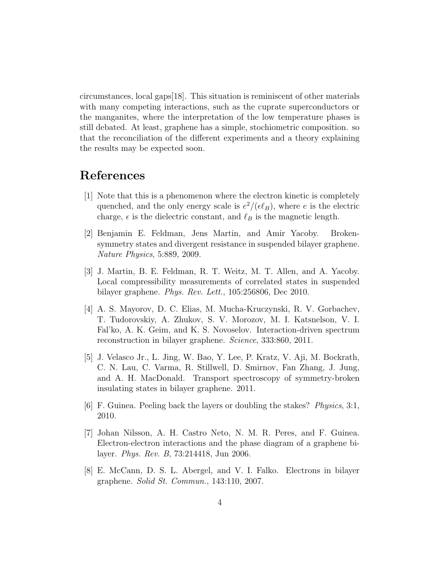circumstances, local gaps[18]. This situation is reminiscent of other materials with many competing interactions, such as the cuprate superconductors or the manganites, where the interpretation of the low temperature phases is still debated. At least, graphene has a simple, stochiometric composition. so that the reconciliation of the different experiments and a theory explaining the results may be expected soon.

# References

- [1] Note that this is a phenomenon where the electron kinetic is completely quenched, and the only energy scale is  $e^2/(\epsilon \ell_B)$ , where e is the electric charge,  $\epsilon$  is the dielectric constant, and  $\ell_B$  is the magnetic length.
- [2] Benjamin E. Feldman, Jens Martin, and Amir Yacoby. Brokensymmetry states and divergent resistance in suspended bilayer graphene. Nature Physics, 5:889, 2009.
- [3] J. Martin, B. E. Feldman, R. T. Weitz, M. T. Allen, and A. Yacoby. Local compressibility measurements of correlated states in suspended bilayer graphene. Phys. Rev. Lett., 105:256806, Dec 2010.
- [4] A. S. Mayorov, D. C. Elias, M. Mucha-Kruczynski, R. V. Gorbachev, T. Tudorovskiy, A. Zhukov, S. V. Morozov, M. I. Katsnelson, V. I. Fal'ko, A. K. Geim, and K. S. Novoselov. Interaction-driven spectrum reconstruction in bilayer graphene. Science, 333:860, 2011.
- [5] J. Velasco Jr., L. Jing, W. Bao, Y. Lee, P. Kratz, V. Aji, M. Bockrath, C. N. Lau, C. Varma, R. Stillwell, D. Smirnov, Fan Zhang, J. Jung, and A. H. MacDonald. Transport spectroscopy of symmetry-broken insulating states in bilayer graphene. 2011.
- [6] F. Guinea. Peeling back the layers or doubling the stakes? Physics, 3:1, 2010.
- [7] Johan Nilsson, A. H. Castro Neto, N. M. R. Peres, and F. Guinea. Electron-electron interactions and the phase diagram of a graphene bilayer. Phys. Rev. B, 73:214418, Jun 2006.
- [8] E. McCann, D. S. L. Abergel, and V. I. Falko. Electrons in bilayer graphene. Solid St. Commun., 143:110, 2007.